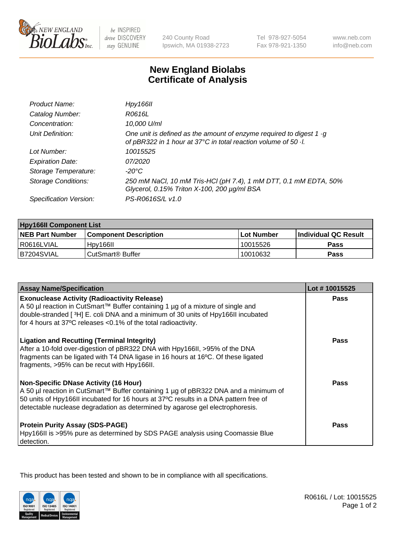

be INSPIRED drive DISCOVERY stay GENUINE

240 County Road Ipswich, MA 01938-2723 Tel 978-927-5054 Fax 978-921-1350

www.neb.com info@neb.com

## **New England Biolabs Certificate of Analysis**

| Product Name:           | Hpy166II                                                                                                                                      |
|-------------------------|-----------------------------------------------------------------------------------------------------------------------------------------------|
| Catalog Number:         | R0616L                                                                                                                                        |
| Concentration:          | 10,000 U/ml                                                                                                                                   |
| Unit Definition:        | One unit is defined as the amount of enzyme required to digest $1 \cdot g$<br>of pBR322 in 1 hour at 37°C in total reaction volume of 50 · l. |
| Lot Number:             | 10015525                                                                                                                                      |
| <b>Expiration Date:</b> | 07/2020                                                                                                                                       |
| Storage Temperature:    | -20°C                                                                                                                                         |
| Storage Conditions:     | 250 mM NaCl, 10 mM Tris-HCl (pH 7.4), 1 mM DTT, 0.1 mM EDTA, 50%<br>Glycerol, 0.15% Triton X-100, 200 µg/ml BSA                               |
| Specification Version:  | PS-R0616S/L v1.0                                                                                                                              |

| <b>Hpy166II Component List</b> |                              |                   |                             |  |
|--------------------------------|------------------------------|-------------------|-----------------------------|--|
| <b>NEB Part Number</b>         | <b>Component Description</b> | <b>Lot Number</b> | <b>Individual QC Result</b> |  |
| l R0616LVIAL                   | Hpy166II                     | 10015526          | <b>Pass</b>                 |  |
| B7204SVIAL                     | l CutSmart® Buffer           | 10010632          | Pass                        |  |

| <b>Assay Name/Specification</b>                                                                                                                                                                                                                                                                              | Lot #10015525 |
|--------------------------------------------------------------------------------------------------------------------------------------------------------------------------------------------------------------------------------------------------------------------------------------------------------------|---------------|
| <b>Exonuclease Activity (Radioactivity Release)</b>                                                                                                                                                                                                                                                          | Pass          |
| A 50 µl reaction in CutSmart™ Buffer containing 1 µg of a mixture of single and<br>double-stranded [3H] E. coli DNA and a minimum of 30 units of Hpy166II incubated                                                                                                                                          |               |
| for 4 hours at 37°C releases <0.1% of the total radioactivity.                                                                                                                                                                                                                                               |               |
| <b>Ligation and Recutting (Terminal Integrity)</b><br>After a 10-fold over-digestion of pBR322 DNA with Hpy166II, >95% of the DNA<br>fragments can be ligated with T4 DNA ligase in 16 hours at 16°C. Of these ligated<br>fragments, >95% can be recut with Hpy166II.                                        | <b>Pass</b>   |
| <b>Non-Specific DNase Activity (16 Hour)</b><br>A 50 µl reaction in CutSmart™ Buffer containing 1 µg of pBR322 DNA and a minimum of<br>50 units of Hpy166II incubated for 16 hours at 37°C results in a DNA pattern free of<br>detectable nuclease degradation as determined by agarose gel electrophoresis. | <b>Pass</b>   |
| <b>Protein Purity Assay (SDS-PAGE)</b><br>Hpy166II is >95% pure as determined by SDS PAGE analysis using Coomassie Blue<br>detection.                                                                                                                                                                        | Pass          |

This product has been tested and shown to be in compliance with all specifications.